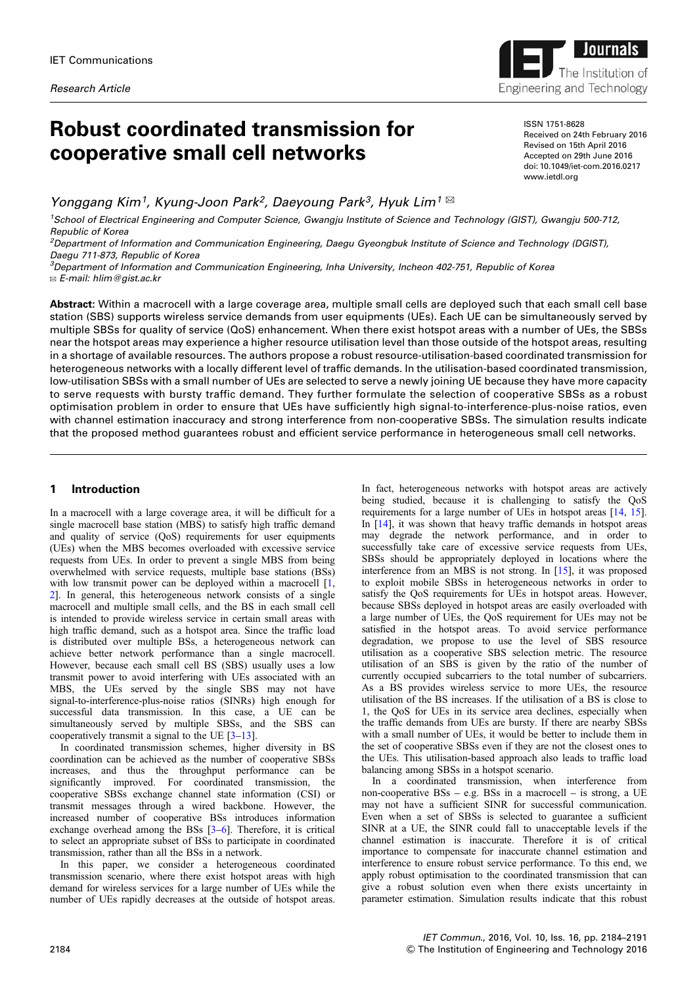# Robust coordinated transmission for cooperative small cell networks

ISSN 1751-8628 Received on 24th February 2016 Revised on 15th April 2016 Accepted on 29th June 2016 doi: 10.1049/iet-com.2016.0217 www.ietdl.org

Engineering and Technology

**Journals** The Institution of

Yonggang Kim<sup>1</sup>, Kyung-Joon Park<sup>2</sup>, Daeyoung Park<sup>3</sup>, Hyuk Lim<sup>1 $\boxtimes$ </sup>

<sup>1</sup>School of Electrical Engineering and Computer Science, Gwangju Institute of Science and Technology (GIST), Gwangju 500-712, Republic of Korea

2 Department of Information and Communication Engineering, Daegu Gyeongbuk Institute of Science and Technology (DGIST), Daegu 711-873, Republic of Korea

<sup>3</sup>Department of Information and Communication Engineering, Inha University, Incheon 402-751, Republic of Korea ✉ E-mail: hlim@gist.ac.kr

Abstract: Within a macrocell with a large coverage area, multiple small cells are deployed such that each small cell base station (SBS) supports wireless service demands from user equipments (UEs). Each UE can be simultaneously served by multiple SBSs for quality of service (QoS) enhancement. When there exist hotspot areas with a number of UEs, the SBSs near the hotspot areas may experience a higher resource utilisation level than those outside of the hotspot areas, resulting in a shortage of available resources. The authors propose a robust resource-utilisation-based coordinated transmission for heterogeneous networks with a locally different level of traffic demands. In the utilisation-based coordinated transmission, low-utilisation SBSs with a small number of UEs are selected to serve a newly joining UE because they have more capacity to serve requests with bursty traffic demand. They further formulate the selection of cooperative SBSs as a robust optimisation problem in order to ensure that UEs have sufficiently high signal-to-interference-plus-noise ratios, even with channel estimation inaccuracy and strong interference from non-cooperative SBSs. The simulation results indicate that the proposed method guarantees robust and efficient service performance in heterogeneous small cell networks.

## 1 Introduction

In a macrocell with a large coverage area, it will be difficult for a single macrocell base station (MBS) to satisfy high traffic demand and quality of service (QoS) requirements for user equipments (UEs) when the MBS becomes overloaded with excessive service requests from UEs. In order to prevent a single MBS from being overwhelmed with service requests, multiple base stations (BSs) with low transmit power can be deployed within a macrocell [1, 2]. In general, this heterogeneous network consists of a single macrocell and multiple small cells, and the BS in each small cell is intended to provide wireless service in certain small areas with high traffic demand, such as a hotspot area. Since the traffic load is distributed over multiple BSs, a heterogeneous network can achieve better network performance than a single macrocell. However, because each small cell BS (SBS) usually uses a low transmit power to avoid interfering with UEs associated with an MBS, the UEs served by the single SBS may not have signal-to-interference-plus-noise ratios (SINRs) high enough for successful data transmission. In this case, a UE can be simultaneously served by multiple SBSs, and the SBS can cooperatively transmit a signal to the UE  $[3-13]$ .

In coordinated transmission schemes, higher diversity in BS coordination can be achieved as the number of cooperative SBSs increases, and thus the throughput performance can be significantly improved. For coordinated transmission, the cooperative SBSs exchange channel state information (CSI) or transmit messages through a wired backbone. However, the increased number of cooperative BSs introduces information exchange overhead among the BSs [3–6]. Therefore, it is critical to select an appropriate subset of BSs to participate in coordinated transmission, rather than all the BSs in a network.

In this paper, we consider a heterogeneous coordinated transmission scenario, where there exist hotspot areas with high demand for wireless services for a large number of UEs while the number of UEs rapidly decreases at the outside of hotspot areas.

In fact, heterogeneous networks with hotspot areas are actively being studied, because it is challenging to satisfy the QoS requirements for a large number of UEs in hotspot areas [14, 15]. In [14], it was shown that heavy traffic demands in hotspot areas may degrade the network performance, and in order to successfully take care of excessive service requests from UEs, SBSs should be appropriately deployed in locations where the interference from an MBS is not strong. In [15], it was proposed to exploit mobile SBSs in heterogeneous networks in order to satisfy the QoS requirements for UEs in hotspot areas. However, because SBSs deployed in hotspot areas are easily overloaded with a large number of UEs, the QoS requirement for UEs may not be satisfied in the hotspot areas. To avoid service performance degradation, we propose to use the level of SBS resource utilisation as a cooperative SBS selection metric. The resource utilisation of an SBS is given by the ratio of the number of currently occupied subcarriers to the total number of subcarriers. As a BS provides wireless service to more UEs, the resource utilisation of the BS increases. If the utilisation of a BS is close to 1, the QoS for UEs in its service area declines, especially when the traffic demands from UEs are bursty. If there are nearby SBSs with a small number of UEs, it would be better to include them in the set of cooperative SBSs even if they are not the closest ones to the UEs. This utilisation-based approach also leads to traffic load balancing among SBSs in a hotspot scenario.

In a coordinated transmission, when interference from non-cooperative BSs – e.g. BSs in a macrocell – is strong, a UE may not have a sufficient SINR for successful communication. Even when a set of SBSs is selected to guarantee a sufficient SINR at a UE, the SINR could fall to unacceptable levels if the channel estimation is inaccurate. Therefore it is of critical importance to compensate for inaccurate channel estimation and interference to ensure robust service performance. To this end, we apply robust optimisation to the coordinated transmission that can give a robust solution even when there exists uncertainty in parameter estimation. Simulation results indicate that this robust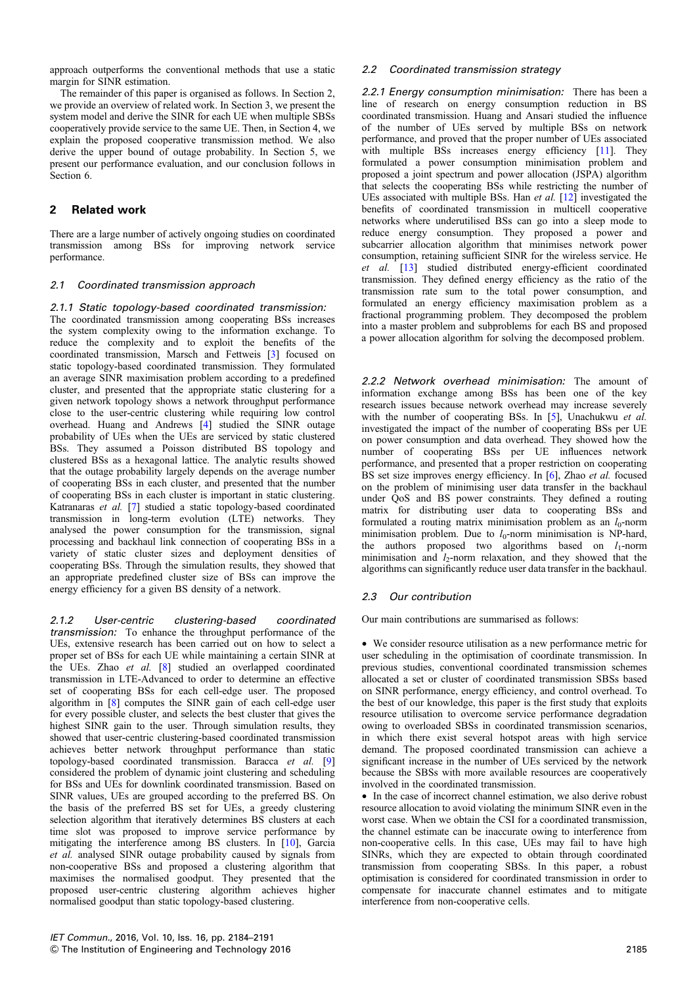approach outperforms the conventional methods that use a static margin for SINR estimation.

The remainder of this paper is organised as follows. In Section 2, we provide an overview of related work. In Section 3, we present the system model and derive the SINR for each UE when multiple SBSs cooperatively provide service to the same UE. Then, in Section 4, we explain the proposed cooperative transmission method. We also derive the upper bound of outage probability. In Section 5, we present our performance evaluation, and our conclusion follows in Section 6.

# 2 Related work

There are a large number of actively ongoing studies on coordinated transmission among BSs for improving network service performance.

## 2.1 Coordinated transmission approach

## 2.1.1 Static topology-based coordinated transmission:

The coordinated transmission among cooperating BSs increases the system complexity owing to the information exchange. To reduce the complexity and to exploit the benefits of the coordinated transmission, Marsch and Fettweis [3] focused on static topology-based coordinated transmission. They formulated an average SINR maximisation problem according to a predefined cluster, and presented that the appropriate static clustering for a given network topology shows a network throughput performance close to the user-centric clustering while requiring low control overhead. Huang and Andrews [4] studied the SINR outage probability of UEs when the UEs are serviced by static clustered BSs. They assumed a Poisson distributed BS topology and clustered BSs as a hexagonal lattice. The analytic results showed that the outage probability largely depends on the average number of cooperating BSs in each cluster, and presented that the number of cooperating BSs in each cluster is important in static clustering. Katranaras et al. [7] studied a static topology-based coordinated transmission in long-term evolution (LTE) networks. They analysed the power consumption for the transmission, signal processing and backhaul link connection of cooperating BSs in a variety of static cluster sizes and deployment densities of cooperating BSs. Through the simulation results, they showed that an appropriate predefined cluster size of BSs can improve the energy efficiency for a given BS density of a network.

2.1.2 User-centric clustering-based coordinated transmission: To enhance the throughput performance of the UEs, extensive research has been carried out on how to select a proper set of BSs for each UE while maintaining a certain SINR at the UEs. Zhao et al. [8] studied an overlapped coordinated transmission in LTE-Advanced to order to determine an effective set of cooperating BSs for each cell-edge user. The proposed algorithm in [8] computes the SINR gain of each cell-edge user for every possible cluster, and selects the best cluster that gives the highest SINR gain to the user. Through simulation results, they showed that user-centric clustering-based coordinated transmission achieves better network throughput performance than static topology-based coordinated transmission. Baracca et al. [9] considered the problem of dynamic joint clustering and scheduling for BSs and UEs for downlink coordinated transmission. Based on SINR values, UEs are grouped according to the preferred BS. On the basis of the preferred BS set for UEs, a greedy clustering selection algorithm that iteratively determines BS clusters at each time slot was proposed to improve service performance by mitigating the interference among BS clusters. In [10], Garcia et al. analysed SINR outage probability caused by signals from non-cooperative BSs and proposed a clustering algorithm that maximises the normalised goodput. They presented that the proposed user-centric clustering algorithm achieves higher normalised goodput than static topology-based clustering.

## 2.2 Coordinated transmission strategy

2.2.1 Energy consumption minimisation: There has been a line of research on energy consumption reduction in BS coordinated transmission. Huang and Ansari studied the influence of the number of UEs served by multiple BSs on network performance, and proved that the proper number of UEs associated with multiple BSs increases energy efficiency [11]. They formulated a power consumption minimisation problem and proposed a joint spectrum and power allocation (JSPA) algorithm that selects the cooperating BSs while restricting the number of UEs associated with multiple BSs. Han et al. [12] investigated the benefits of coordinated transmission in multicell cooperative networks where underutilised BSs can go into a sleep mode to reduce energy consumption. They proposed a power and subcarrier allocation algorithm that minimises network power consumption, retaining sufficient SINR for the wireless service. He et al. [13] studied distributed energy-efficient coordinated transmission. They defined energy efficiency as the ratio of the transmission rate sum to the total power consumption, and formulated an energy efficiency maximisation problem as a fractional programming problem. They decomposed the problem into a master problem and subproblems for each BS and proposed a power allocation algorithm for solving the decomposed problem.

2.2.2 Network overhead minimisation: The amount of information exchange among BSs has been one of the key research issues because network overhead may increase severely with the number of cooperating BSs. In [5], Unachukwu et al. investigated the impact of the number of cooperating BSs per UE on power consumption and data overhead. They showed how the number of cooperating BSs per UE influences network performance, and presented that a proper restriction on cooperating BS set size improves energy efficiency. In [6], Zhao et al. focused on the problem of minimising user data transfer in the backhaul under QoS and BS power constraints. They defined a routing matrix for distributing user data to cooperating BSs and formulated a routing matrix minimisation problem as an  $l_0$ -norm minimisation problem. Due to  $l_0$ -norm minimisation is NP-hard, the authors proposed two algorithms based on  $l_1$ -norm minimisation and  $l_2$ -norm relaxation, and they showed that the algorithms can significantly reduce user data transfer in the backhaul.

## 2.3 Our contribution

Our main contributions are summarised as follows:

• We consider resource utilisation as a new performance metric for user scheduling in the optimisation of coordinate transmission. In previous studies, conventional coordinated transmission schemes allocated a set or cluster of coordinated transmission SBSs based on SINR performance, energy efficiency, and control overhead. To the best of our knowledge, this paper is the first study that exploits resource utilisation to overcome service performance degradation owing to overloaded SBSs in coordinated transmission scenarios, in which there exist several hotspot areas with high service demand. The proposed coordinated transmission can achieve a significant increase in the number of UEs serviced by the network because the SBSs with more available resources are cooperatively involved in the coordinated transmission.

• In the case of incorrect channel estimation, we also derive robust resource allocation to avoid violating the minimum SINR even in the worst case. When we obtain the CSI for a coordinated transmission. the channel estimate can be inaccurate owing to interference from non-cooperative cells. In this case, UEs may fail to have high SINRs, which they are expected to obtain through coordinated transmission from cooperating SBSs. In this paper, a robust optimisation is considered for coordinated transmission in order to compensate for inaccurate channel estimates and to mitigate interference from non-cooperative cells.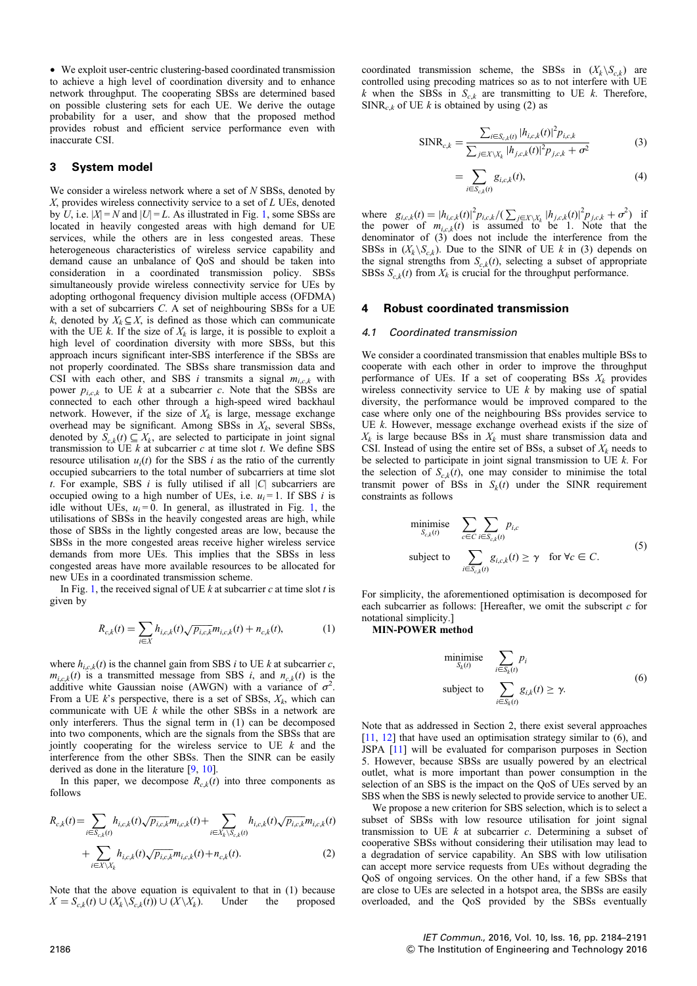† We exploit user-centric clustering-based coordinated transmission to achieve a high level of coordination diversity and to enhance network throughput. The cooperating SBSs are determined based on possible clustering sets for each UE. We derive the outage probability for a user, and show that the proposed method provides robust and efficient service performance even with inaccurate CSI.

#### 3 System model

We consider a wireless network where a set of N SBSs, denoted by  $X$ , provides wireless connectivity service to a set of  $L$  UEs, denoted by U, i.e.  $|X| = N$  and  $|U| = L$ . As illustrated in Fig. 1, some SBSs are located in heavily congested areas with high demand for UE services, while the others are in less congested areas. These heterogeneous characteristics of wireless service capability and demand cause an unbalance of QoS and should be taken into consideration in a coordinated transmission policy. SBSs simultaneously provide wireless connectivity service for UEs by adopting orthogonal frequency division multiple access (OFDMA) with a set of subcarriers C. A set of neighbouring SBSs for a UE k, denoted by  $X_k \subseteq X$ , is defined as those which can communicate with the UE k. If the size of  $X_k$  is large, it is possible to exploit a high level of coordination diversity with more SBSs, but this approach incurs significant inter-SBS interference if the SBSs are not properly coordinated. The SBSs share transmission data and CSI with each other, and SBS i transmits a signal  $m_{i,c,k}$  with power  $p_{i,c,k}$  to UE k at a subcarrier c. Note that the SBSs are connected to each other through a high-speed wired backhaul network. However, if the size of  $X_k$  is large, message exchange overhead may be significant. Among SBSs in  $X_k$ , several SBSs, denoted by  $S_{c,k}(t) \subseteq X_k$ , are selected to participate in joint signal transmission to UE  $k$  at subcarrier  $c$  at time slot  $t$ . We define SBS resource utilisation  $u_i(t)$  for the SBS *i* as the ratio of the currently occupied subcarriers to the total number of subcarriers at time slot t. For example, SBS i is fully utilised if all  $|C|$  subcarriers are occupied owing to a high number of UEs, i.e.  $u_i = 1$ . If SBS i is idle without UEs,  $u_i = 0$ . In general, as illustrated in Fig. 1, the utilisations of SBSs in the heavily congested areas are high, while those of SBSs in the lightly congested areas are low, because the SBSs in the more congested areas receive higher wireless service demands from more UEs. This implies that the SBSs in less congested areas have more available resources to be allocated for new UEs in a coordinated transmission scheme.

In Fig. 1, the received signal of UE  $k$  at subcarrier  $c$  at time slot  $t$  is given by

$$
R_{c,k}(t) = \sum_{i \in X} h_{i,c,k}(t) \sqrt{p_{i,c,k}} m_{i,c,k}(t) + n_{c,k}(t),
$$
 (1)

where  $h_{i,c,k}(t)$  is the channel gain from SBS *i* to UE *k* at subcarrier *c*,  $m_{i,c,k}(t)$  is a transmitted message from SBS *i*, and  $n_{c,k}(t)$  is the additive white Gaussian noise (AWGN) with a variance of  $\sigma^2$ . From a UE k's perspective, there is a set of SBSs,  $X_k$ , which can communicate with  $\overline{UE}$  k while the other SBSs in a network are only interferers. Thus the signal term in (1) can be decomposed into two components, which are the signals from the SBSs that are jointly cooperating for the wireless service to UE  $k$  and the interference from the other SBSs. Then the SINR can be easily derived as done in the literature [9, 10].

In this paper, we decompose  $R_{ck}(t)$  into three components as follows

$$
R_{c,k}(t) = \sum_{i \in S_{c,k}(t)} h_{i,c,k}(t) \sqrt{p_{i,c,k}} m_{i,c,k}(t) + \sum_{i \in X_k \setminus S_{c,k}(t)} h_{i,c,k}(t) \sqrt{p_{i,c,k}} m_{i,c,k}(t) + \sum_{i \in X \setminus X_k} h_{i,c,k}(t) \sqrt{p_{i,c,k}} m_{i,c,k}(t) + n_{c,k}(t).
$$
\n(2)

Note that the above equation is equivalent to that in (1) because  $X = S_{c,k}(t) \cup (X_k \backslash S_{c,k}(t)) \cup (X \backslash X_k)$ . Under the proposed coordinated transmission scheme, the SBSs in  $(X_k \backslash S_{c,k} )$  are controlled using precoding matrices so as to not interfere with UE k when the SBSs in  $S_{c,k}$  are transmitting to UE k. Therefore,  $SINR<sub>c,k</sub>$  of UE k is obtained by using (2) as

$$
SINR_{c,k} = \frac{\sum_{i \in S_{c,k}(t)} |h_{i,c,k}(t)|^2 p_{i,c,k}}{\sum_{j \in X \setminus X_k} |h_{j,c,k}(t)|^2 p_{j,c,k} + \sigma^2}
$$
(3)

$$
=\sum_{i\in S_{c,k}(t)}g_{i,c,k}(t),\tag{4}
$$

where  $g_{i,c,k}(t) = |h_{i,c,k}(t)|^2 p_{i,c,k} / (\sum_{j \in X \setminus X_k} |h_{j,c,k}(t)|^2 p_{j,c,k} + \sigma^2)$  if the power of  $m_{i,c,k}(t)$  is assumed to be 1. Note that the denominator of (3) does not include the interference from the SBSs in  $(X_k \backslash S_{c,k})$ . Due to the SINR of UE k in (3) depends on the signal strengths from  $S_{c,k}(t)$ , selecting a subset of appropriate SBSs  $S_{ck}(t)$  from  $X_k$  is crucial for the throughput performance.

#### 4 Robust coordinated transmission

## 4.1 Coordinated transmission

We consider a coordinated transmission that enables multiple BSs to cooperate with each other in order to improve the throughput performance of UEs. If a set of cooperating BSs  $X_k$  provides wireless connectivity service to UE  $k$  by making use of spatial diversity, the performance would be improved compared to the case where only one of the neighbouring BSs provides service to UE  $k$ . However, message exchange overhead exists if the size of  $X_k$  is large because BSs in  $X_k$  must share transmission data and CSI. Instead of using the entire set of BSs, a subset of  $X_k$  needs to be selected to participate in joint signal transmission to UE  $k$ . For the selection of  $S_{ck}(t)$ , one may consider to minimise the total transmit power of BSs in  $S_k(t)$  under the SINR requirement constraints as follows

minimise 
$$
\sum_{c \in C} \sum_{i \in S_{c,k}(t)} p_{i,c}
$$
  
subject to 
$$
\sum_{i \in S_{c,k}(t)} g_{i,c,k}(t) \ge \gamma \text{ for } \forall c \in C.
$$
 (5)

For simplicity, the aforementioned optimisation is decomposed for each subcarrier as follows: [Hereafter, we omit the subscript  $c$  for notational simplicity.]

MIN-POWER method

minimise 
$$
\sum_{i \in S_k(t)} p_i
$$
  
subject to 
$$
\sum_{i \in S_k(t)} g_{i,k}(t) \ge \gamma.
$$
 (6)

Note that as addressed in Section 2, there exist several approaches [11, 12] that have used an optimisation strategy similar to  $(6)$ , and JSPA [11] will be evaluated for comparison purposes in Section 5. However, because SBSs are usually powered by an electrical outlet, what is more important than power consumption in the selection of an SBS is the impact on the QoS of UEs served by an SBS when the SBS is newly selected to provide service to another UE.

We propose a new criterion for SBS selection, which is to select a subset of SBSs with low resource utilisation for joint signal transmission to UE  $k$  at subcarrier  $c$ . Determining a subset of cooperative SBSs without considering their utilisation may lead to a degradation of service capability. An SBS with low utilisation can accept more service requests from UEs without degrading the QoS of ongoing services. On the other hand, if a few SBSs that are close to UEs are selected in a hotspot area, the SBSs are easily overloaded, and the QoS provided by the SBSs eventually

IET Commun., 2016, Vol. 10, Iss. 16, pp. 2184–2191 2186 & The Institution of Engineering and Technology 2016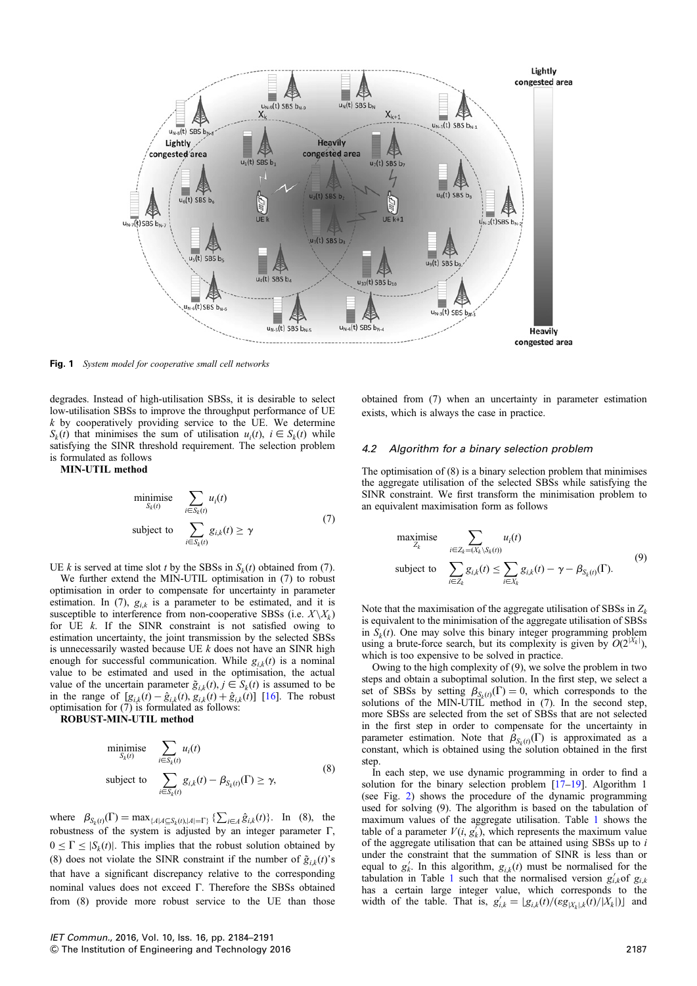

Fig. 1 System model for cooperative small cell networks

degrades. Instead of high-utilisation SBSs, it is desirable to select low-utilisation SBSs to improve the throughput performance of UE k by cooperatively providing service to the UE. We determine  $S_k(t)$  that minimises the sum of utilisation  $u_i(t)$ ,  $i \in S_k(t)$  while satisfying the SINR threshold requirement. The selection problem is formulated as follows

MIN-UTIL method

minimise 
$$
\sum_{i \in S_k(t)} u_i(t)
$$
  
subject to 
$$
\sum_{i \in S_k(t)} g_{i,k}(t) \ge \gamma
$$
 (7)

UE k is served at time slot t by the SBSs in  $S_k(t)$  obtained from (7).

We further extend the MIN-UTIL optimisation in (7) to robust optimisation in order to compensate for uncertainty in parameter estimation. In (7),  $g_{i,k}$  is a parameter to be estimated, and it is susceptible to interference from non-cooperative SBSs (i.e.  $X \setminus X_k$ ) for UE  $k$ . If the SINR constraint is not satisfied owing to estimation uncertainty, the joint transmission by the selected SBSs is unnecessarily wasted because UE  $k$  does not have an SINR high enough for successful communication. While  $g_{i,k}(t)$  is a nominal value to be estimated and used in the optimisation, the actual value of the uncertain parameter  $\tilde{g}_{i,k}(t), j \in S_k(t)$  is assumed to be in the range of  $[g_{i,k}(t) - \hat{g}_{i,k}(t), g_{i,k}(t) + \hat{g}_{i,k}(t)]$  [16]. The robust optimisation for (7) is formulated as follows:

ROBUST-MIN-UTIL method

$$
\begin{array}{ll}\text{minimize} & \sum_{i \in S_k(t)} u_i(t) \\ \text{subject to} & \sum_{i \in S_k(t)} g_{i,k}(t) - \beta_{S_k(t)}(\Gamma) \ge \gamma, \end{array} \tag{8}
$$

where  $\beta_{S_k(t)}(\Gamma) = \max_{\{A|A\subseteq S_k(t),|A|= \Gamma\}} {\sum_{i\in A} \hat{g}_{i,k}(t)}$ . In (8), the robustness of the system is adjusted by an integer parameter Γ,  $0 \leq \Gamma \leq |S_{k}(t)|$ . This implies that the robust solution obtained by (8) does not violate the SINR constraint if the number of  $\tilde{g}_{ik}(t)$ 's that have a significant discrepancy relative to the corresponding nominal values does not exceed Γ. Therefore the SBSs obtained from (8) provide more robust service to the UE than those

obtained from (7) when an uncertainty in parameter estimation exists, which is always the case in practice.

#### 4.2 Algorithm for a binary selection problem

The optimisation of (8) is a binary selection problem that minimises the aggregate utilisation of the selected SBSs while satisfying the SINR constraint. We first transform the minimisation problem to an equivalent maximisation form as follows

maximize  
\n
$$
\sum_{Z_k} u_i(t)
$$
\nsubject to\n
$$
\sum_{i \in Z_k} g_{i,k}(t) \leq \sum_{i \in X_k} g_{i,k}(t) - \gamma - \beta_{S_k(t)}(\Gamma).
$$
\n(9)

Note that the maximisation of the aggregate utilisation of SBSs in  $Z_k$ is equivalent to the minimisation of the aggregate utilisation of SBSs in  $S_k(t)$ . One may solve this binary integer programming problem using a brute-force search, but its complexity is given by  $O(2^{|X_k|})$ , which is too expensive to be solved in practice.

Owing to the high complexity of (9), we solve the problem in two steps and obtain a suboptimal solution. In the first step, we select a set of SBSs by setting  $\beta_{S_k(t)}(\Gamma) = 0$ , which corresponds to the solutions of the MIN-UTIL method in (7). In the second step, more SBSs are selected from the set of SBSs that are not selected in the first step in order to compensate for the uncertainty in parameter estimation. Note that  $\beta_{S_k(t)}(\Gamma)$  is approximated as a constant, which is obtained using the solution obtained in the first step.

In each step, we use dynamic programming in order to find a solution for the binary selection problem [17–19]. Algorithm 1 (see Fig. 2) shows the procedure of the dynamic programming used for solving (9). The algorithm is based on the tabulation of maximum values of the aggregate utilisation. Table 1 shows the table of a parameter  $V(i, g'_k)$ , which represents the maximum value of the aggregate utilisation that can be attained using SBSs up to  $i$ under the constraint that the summation of SINR is less than or equal to  $g'_{k}$ . In this algorithm,  $g_{i,k}(t)$  must be normalised for the tabulation in Table 1 such that the normalised version  $g'_{i,k}$  of  $g_{i,k}$ has a certain large integer value, which corresponds to the width of the table. That is,  $g'_{i,k} = \lfloor g_{i,k}(t)/(g g_{|X_k|,k}(t)/|X_k|) \rfloor$  and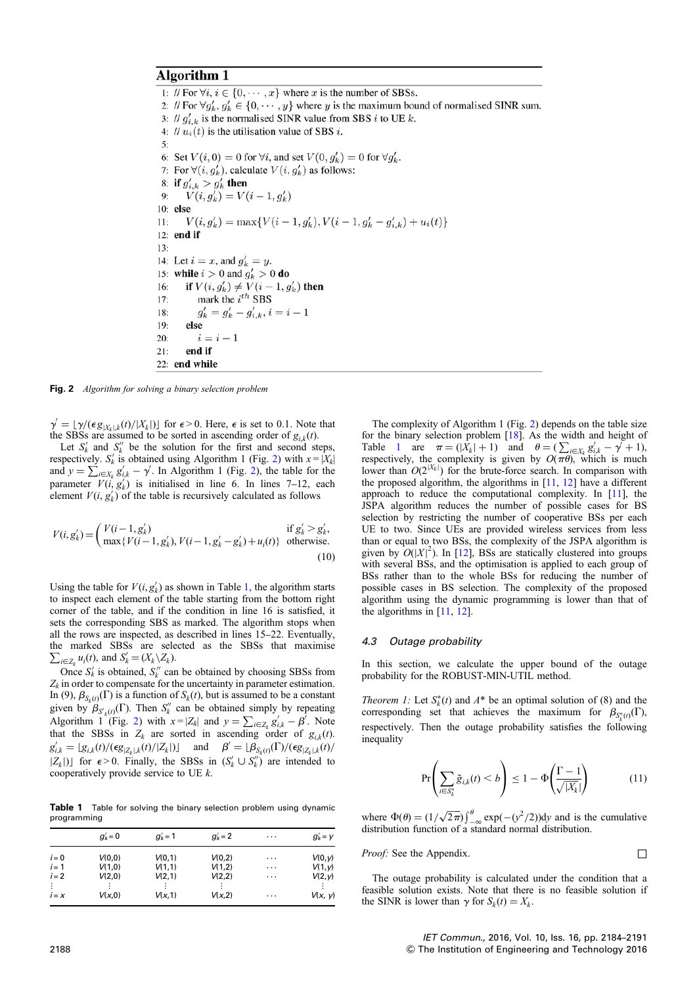# **Algorithm 1**

1: // For  $\forall i, i \in \{0, \dots, x\}$  where x is the number of SBSs. 2: // For  $\forall g'_k, g'_k \in \{0, \dots, y\}$  where y is the maximum bound of normalised SINR sum. 3: //  $g'_{i,k}$  is the normalised SINR value from SBS i to UE k. 4:  $\pi u_i(t)$  is the utilisation value of SBS *i*.  $5:$ 6: Set  $V(i, 0) = 0$  for  $\forall i$ , and set  $V(0, g'_k) = 0$  for  $\forall g'_k$ . 7: For  $\forall (i, g'_k)$ , calculate  $V(i, g'_k)$  as follows: 8: if  $g'_{i,k} > g'_{k}$  then  $V(i, g'_{k}) = V(i - 1, g'_{k})$ 9:  $10:$  else  $V(i, g'_{k}) = \max\{V(i - 1, g'_{k}), V(i - 1, g'_{k} - g'_{i,k}) + u_{i}(t)\}\$  $11:$  $12:$  end if  $13$ 14: Let  $i = x$ , and  $g'_k = y$ . 15: while  $i > 0$  and  $g'_k > 0$  do **if**  $V(i, g'_k) \neq V(i - 1, g'_k)$  then<br>mark the  $i^{th}$  SBS  $16<sup>2</sup>$  $17:$  $g'_{k} = g'_{k} - g'_{i,k}, i = i - 1$  $18$  $19<sub>i</sub>$ else  $20$  $i = i - 1$  $21:$ end if 22: end while

Fig. 2 Algorithm for solving a binary selection problem

 $\gamma' = \lfloor \gamma/(\epsilon g_{|X_k|,k}(t)/|X_k|) \rfloor$  for  $\epsilon > 0$ . Here,  $\epsilon$  is set to 0.1. Note that the SBSs are assumed to be sorted in ascending order of  $g_{i,k}(t)$ .

Let  $S'_k$  and  $S''_k$  be the solution for the first and second steps, respectively.  $S'_k$  is obtained using Algorithm 1 (Fig. 2) with  $x = |X_k|$ and  $y = \sum_{i \in X_k} g'_{i,k} - \gamma'$ . In Algorithm 1 (Fig. 2), the table for the parameter  $V(i, g'_k)$  is initialised in line 6. In lines 7–12, each element  $V(i, g'_k)$  of the table is recursively calculated as follows

$$
V(i, g'_k) = \begin{pmatrix} V(i-1, g'_k) & \text{if } g'_k > g'_k, \\ \max\{V(i-1, g'_k), V(i-1, g'_k - g'_k) + u_i(t)\} & \text{otherwise.} \end{pmatrix}
$$
(10)

Using the table for  $V(i, g'_k)$  as shown in Table 1, the algorithm starts to inspect each element of the table starting from the bottom right corner of the table, and if the condition in line 16 is satisfied, it sets the corresponding SBS as marked. The algorithm stops when all the rows are inspected, as described in lines 15–22. Eventually, the marked SBSs are selected as the SBSs that maximise  $\sum_{i\in Z_k} u_i(t)$ , and  $S'_k = (X_k \setminus Z_k)$ .

Once  $S'_k$  is obtained,  $S''_k$  can be obtained by choosing SBSs from  $Z_k$  in order to compensate for the uncertainty in parameter estimation. In (9),  $\beta_{S_k(t)}(\Gamma)$  is a function of  $S_k(t)$ , but is assumed to be a constant given by  $\beta_{S'_k(t)}(\Gamma)$ . Then  $S''_k$  can be obtained simply by repeating<br>Algorithm 1 (Fig. 2) with  $x = |Z|$  and  $y = \sum_{r=1}^k a'_r = \beta'_r$ . Note Algorithm 1 (Fig. 2) with  $x = |Z_k|$  and  $y = \sum_{i \in Z_k} g'_{i,k} - \beta'$ . Note that the SBSs in  $Z_k$  are sorted in ascending order of  $g_{i,k}(t)$ .  $g'_{i,k} = \lfloor g_{i,k}(t)/( \epsilon g_{|Z_k|,k}(t) / |Z_k| ) \rfloor$  and  $\beta' = \lfloor \beta_{S_k(t)}(\Gamma) / (\epsilon g_{|Z_k|,k}(t) / |\Gamma_k| ) \rfloor$  $|Z_k|$ ] for  $\epsilon > 0$ . Finally, the SBSs in  $(S'_k \cup S''_k)$  are intended to cooperatively provide service to UE k.

Table 1 Table for solving the binary selection problem using dynamic programming

|         | $g'_k = 0$ | $g'_{k} = 1$ | $g'_{k} = 2$ | $\cdots$ | $g'_k = y$ |
|---------|------------|--------------|--------------|----------|------------|
| $i = 0$ | V(0,0)     | V(0,1)       | V(0,2)       | $\cdots$ | V(0,y)     |
| $i = 1$ | V(1,0)     | V(1,1)       | V(1,2)       | $\cdots$ | V(1,y)     |
| $i = 2$ | V(2,0)     | V(2,1)       | V(2,2)       | $\cdots$ | V(2,y)     |
| ÷       |            |              |              |          |            |
| $i = x$ | V(x,0)     | V(x,1)       | V(x,2)       | $\cdots$ | V(x, y)    |

The complexity of Algorithm 1 (Fig. 2) depends on the table size for the binary selection problem [18]. As the width and height of Table 1 are  $\pi = (|X_k| + 1)$  and  $\theta = (\sum_{i \in X_k} g'_{i,k} - \gamma' + 1),$ respectively, the complexity is given by  $O(\pi\theta)$ , which is much lower than  $O(2^{|X_k|})$  for the brute-force search. In comparison with the proposed algorithm, the algorithms in [11, 12] have a different approach to reduce the computational complexity. In  $[11]$ , the JSPA algorithm reduces the number of possible cases for BS selection by restricting the number of cooperative BSs per each UE to two. Since UEs are provided wireless services from less than or equal to two BSs, the complexity of the JSPA algorithm is given by  $O(|X|^2)$ . In [12], BSs are statically clustered into groups with several BSs, and the optimisation is applied to each group of BSs rather than to the whole BSs for reducing the number of possible cases in BS selection. The complexity of the proposed algorithm using the dynamic programming is lower than that of the algorithms in [11, 12].

#### 4.3 Outage probability

In this section, we calculate the upper bound of the outage probability for the ROBUST-MIN-UTIL method.

*Theorem 1:* Let  $S_k^*(t)$  and  $A^*$  be an optimal solution of (8) and the corresponding set that achieves the maximum for  $\beta_{S^*(t)}(\Gamma)$ , respectively. Then the outage probability satisfies the following inequality

$$
\Pr\left(\sum_{i\in S_k^*} \tilde{g}_{i,k}(t) < b\right) \le 1 - \Phi\left(\frac{\Gamma - 1}{\sqrt{|X_k|}}\right) \tag{11}
$$

where  $\Phi(\theta) = (1/\sqrt{2\pi}) \int_{-\infty}^{\theta} \exp(-(y^2/2))dy$  and is the cumulative distribution function of a standard normal distribution distribution function of a standard normal distribution.

*Proof:* See the Appendix. 
$$
\Box
$$

The outage probability is calculated under the condition that a feasible solution exists. Note that there is no feasible solution if the SINR is lower than  $\gamma$  for  $S_k(t) = X_k$ .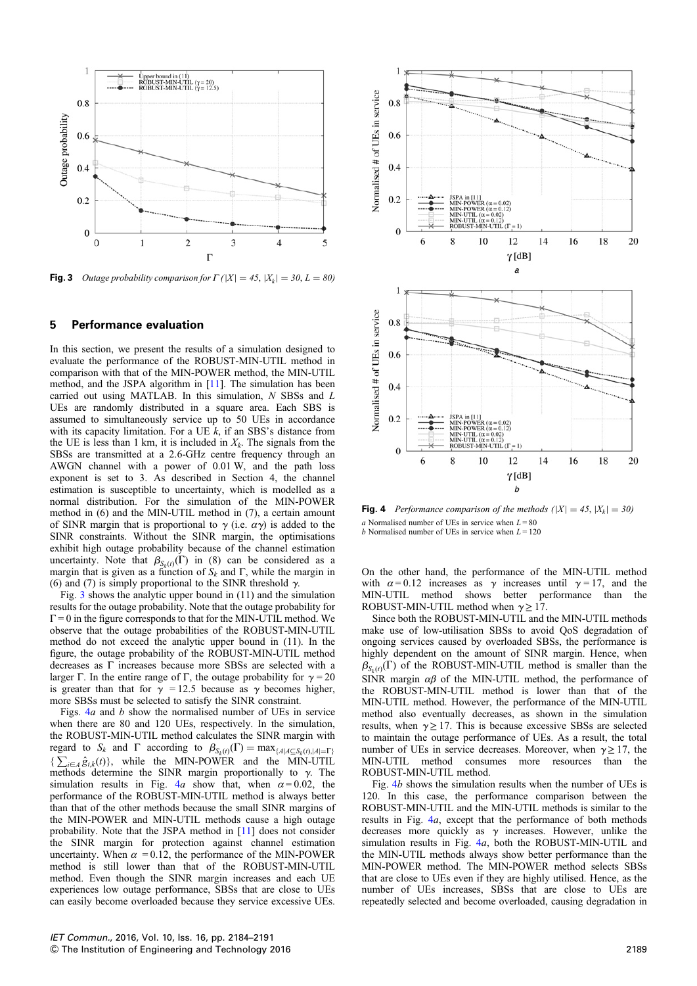

**Fig. 3** Outage probability comparison for  $\Gamma(|X| = 45, |X_k| = 30, L = 80)$ 

## 5 Performance evaluation

In this section, we present the results of a simulation designed to evaluate the performance of the ROBUST-MIN-UTIL method in comparison with that of the MIN-POWER method, the MIN-UTIL method, and the JSPA algorithm in [11]. The simulation has been carried out using MATLAB. In this simulation,  $N$  SBSs and  $L$ UEs are randomly distributed in a square area. Each SBS is assumed to simultaneously service up to 50 UEs in accordance with its capacity limitation. For a UE  $k$ , if an SBS's distance from the UE is less than 1 km, it is included in  $X_k$ . The signals from the SBSs are transmitted at a 2.6-GHz centre frequency through an AWGN channel with a power of 0.01 W, and the path loss exponent is set to 3. As described in Section 4, the channel estimation is susceptible to uncertainty, which is modelled as a normal distribution. For the simulation of the MIN-POWER method in (6) and the MIN-UTIL method in (7), a certain amount of SINR margin that is proportional to  $\gamma$  (i.e.  $\alpha\gamma$ ) is added to the SINR constraints. Without the SINR margin, the optimisations exhibit high outage probability because of the channel estimation uncertainty. Note that  $\beta_{S_k(t)}(\Gamma)$  in (8) can be considered as a margin that is given as a function of  $S_k$  and  $\Gamma$ , while the margin in (6) and (7) is simply proportional to the SINR threshold  $\gamma$ .

Fig. 3 shows the analytic upper bound in (11) and the simulation results for the outage probability. Note that the outage probability for  $\Gamma = 0$  in the figure corresponds to that for the MIN-UTIL method. We observe that the outage probabilities of the ROBUST-MIN-UTIL method do not exceed the analytic upper bound in (11). In the figure, the outage probability of the ROBUST-MIN-UTIL method decreases as Γ increases because more SBSs are selected with a larger Γ. In the entire range of Γ, the outage probability for  $\gamma = 20$ is greater than that for  $\gamma$  = 12.5 because as  $\gamma$  becomes higher, more SBSs must be selected to satisfy the SINR constraint.

Figs. 4a and b show the normalised number of UEs in service when there are 80 and 120 UEs, respectively. In the simulation, the ROBUST-MIN-UTIL method calculates the SINR margin with regard to  $S_k$  and  $\Gamma$  according to  $\beta_{S_k(t)}(\Gamma) = \max_{\{A|A \subseteq S_k(t), |A| = \Gamma\}}$  $\{\sum_{i\in A}\hat{g}_{i,k}(t)\}\$ , while the MIN-POWER and the MIN-UTIL methods determine the SINR margin proportionally to  $\gamma$ . The simulation results in Fig. 4a show that, when  $\alpha = 0.02$ , the performance of the ROBUST-MIN-UTIL method is always better than that of the other methods because the small SINR margins of the MIN-POWER and MIN-UTIL methods cause a high outage probability. Note that the JSPA method in [11] does not consider the SINR margin for protection against channel estimation uncertainty. When  $\alpha = 0.12$ , the performance of the MIN-POWER method is still lower than that of the ROBUST-MIN-UTIL method. Even though the SINR margin increases and each UE experiences low outage performance, SBSs that are close to UEs can easily become overloaded because they service excessive UEs.



**Fig. 4** Performance comparison of the methods  $(|X| = 45, |X_k| = 30)$ a Normalised number of UEs in service when  $L = 80$ b Normalised number of UEs in service when  $L = 120$ 

On the other hand, the performance of the MIN-UTIL method with  $\alpha = 0.12$  increases as  $\gamma$  increases until  $\gamma = 17$ , and the MIN-UTIL method shows better performance than the ROBUST-MIN-UTIL method when  $\gamma \geq 17$ .

Since both the ROBUST-MIN-UTIL and the MIN-UTIL methods make use of low-utilisation SBSs to avoid QoS degradation of ongoing services caused by overloaded SBSs, the performance is highly dependent on the amount of SINR margin. Hence, when  $\beta_{S_{\epsilon}(t)}(\Gamma)$  of the ROBUST-MIN-UTIL method is smaller than the SINR margin  $\alpha\beta$  of the MIN-UTIL method, the performance of the ROBUST-MIN-UTIL method is lower than that of the MIN-UTIL method. However, the performance of the MIN-UTIL method also eventually decreases, as shown in the simulation results, when  $\gamma \geq 17$ . This is because excessive SBSs are selected to maintain the outage performance of UEs. As a result, the total number of UEs in service decreases. Moreover, when  $\gamma \geq 17$ , the MIN-UTIL method consumes more resources than the ROBUST-MIN-UTIL method.

Fig. 4b shows the simulation results when the number of UEs is 120. In this case, the performance comparison between the ROBUST-MIN-UTIL and the MIN-UTIL methods is similar to the results in Fig. 4a, except that the performance of both methods decreases more quickly as  $\gamma$  increases. However, unlike the simulation results in Fig. 4a, both the ROBUST-MIN-UTIL and the MIN-UTIL methods always show better performance than the MIN-POWER method. The MIN-POWER method selects SBSs that are close to UEs even if they are highly utilised. Hence, as the number of UEs increases, SBSs that are close to UEs are repeatedly selected and become overloaded, causing degradation in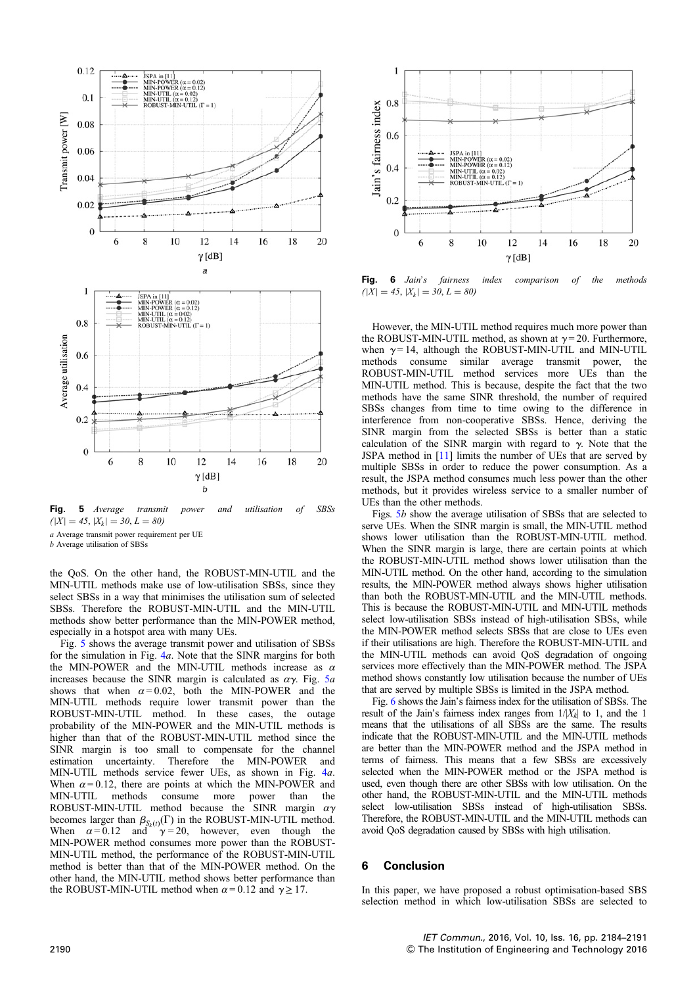

Fig. 5 Average transmit power and utilisation of SBSs  $(|X| = 45, |X_k| = 30, L = 80)$ 

a Average transmit power requirement per UE

b Average utilisation of SBSs

the QoS. On the other hand, the ROBUST-MIN-UTIL and the MIN-UTIL methods make use of low-utilisation SBSs, since they select SBSs in a way that minimises the utilisation sum of selected SBSs. Therefore the ROBUST-MIN-UTIL and the MIN-UTIL methods show better performance than the MIN-POWER method, especially in a hotspot area with many UEs.

Fig. 5 shows the average transmit power and utilisation of SBSs for the simulation in Fig. 4a. Note that the SINR margins for both the MIN-POWER and the MIN-UTIL methods increase as  $\alpha$ increases because the SINR margin is calculated as  $\alpha \gamma$ . Fig. 5a shows that when  $\alpha = 0.02$ , both the MIN-POWER and the MIN-UTIL methods require lower transmit power than the ROBUST-MIN-UTIL method. In these cases, the outage probability of the MIN-POWER and the MIN-UTIL methods is higher than that of the ROBUST-MIN-UTIL method since the SINR margin is too small to compensate for the channel estimation uncertainty. Therefore the MIN-POWER and MIN-UTIL methods service fewer UEs, as shown in Fig. 4a. When  $\alpha$  = 0.12, there are points at which the MIN-POWER and MIN-UTIL methods consume more power than the MIN-UTIL methods consume more power than the ROBUST-MIN-UTIL method because the SINR margin  $\alpha\gamma$ becomes larger than  $\beta_{S_k(t)}(\Gamma)$  in the ROBUST-MIN-UTIL method. When  $\alpha = 0.12$  and  $\gamma = 20$ , however, even though the MIN-POWER method consumes more power than the ROBUST-MIN-UTIL method, the performance of the ROBUST-MIN-UTIL method is better than that of the MIN-POWER method. On the other hand, the MIN-UTIL method shows better performance than the ROBUST-MIN-UTIL method when  $\alpha = 0.12$  and  $\gamma \ge 17$ .



Fig. 6 Jain's fairness index comparison of the methods  $(|X| = 45, |X_k| = 30, L = 80)$ 

However, the MIN-UTIL method requires much more power than the ROBUST-MIN-UTIL method, as shown at  $\gamma = 20$ . Furthermore, when  $\gamma = 14$ , although the ROBUST-MIN-UTIL and MIN-UTIL methods consume similar average transmit power, the ROBUST-MIN-UTIL method services more UEs than the MIN-UTIL method. This is because, despite the fact that the two methods have the same SINR threshold, the number of required SBSs changes from time to time owing to the difference in interference from non-cooperative SBSs. Hence, deriving the SINR margin from the selected SBSs is better than a static calculation of the SINR margin with regard to  $\gamma$ . Note that the JSPA method in [11] limits the number of UEs that are served by multiple SBSs in order to reduce the power consumption. As a result, the JSPA method consumes much less power than the other methods, but it provides wireless service to a smaller number of UEs than the other methods.

Figs. 5b show the average utilisation of SBSs that are selected to serve UEs. When the SINR margin is small, the MIN-UTIL method shows lower utilisation than the ROBUST-MIN-UTIL method. When the SINR margin is large, there are certain points at which the ROBUST-MIN-UTIL method shows lower utilisation than the MIN-UTIL method. On the other hand, according to the simulation results, the MIN-POWER method always shows higher utilisation than both the ROBUST-MIN-UTIL and the MIN-UTIL methods. This is because the ROBUST-MIN-UTIL and MIN-UTIL methods select low-utilisation SBSs instead of high-utilisation SBSs, while the MIN-POWER method selects SBSs that are close to UEs even if their utilisations are high. Therefore the ROBUST-MIN-UTIL and the MIN-UTIL methods can avoid QoS degradation of ongoing services more effectively than the MIN-POWER method. The JSPA method shows constantly low utilisation because the number of UEs that are served by multiple SBSs is limited in the JSPA method.

Fig. 6 shows the Jain's fairness index for the utilisation of SBSs. The result of the Jain's fairness index ranges from  $1/|X_k|$  to 1, and the 1 means that the utilisations of all SBSs are the same. The results indicate that the ROBUST-MIN-UTIL and the MIN-UTIL methods are better than the MIN-POWER method and the JSPA method in terms of fairness. This means that a few SBSs are excessively selected when the MIN-POWER method or the JSPA method is used, even though there are other SBSs with low utilisation. On the other hand, the ROBUST-MIN-UTIL and the MIN-UTIL methods select low-utilisation SBSs instead of high-utilisation SBSs. Therefore, the ROBUST-MIN-UTIL and the MIN-UTIL methods can avoid QoS degradation caused by SBSs with high utilisation.

## 6 Conclusion

In this paper, we have proposed a robust optimisation-based SBS selection method in which low-utilisation SBSs are selected to